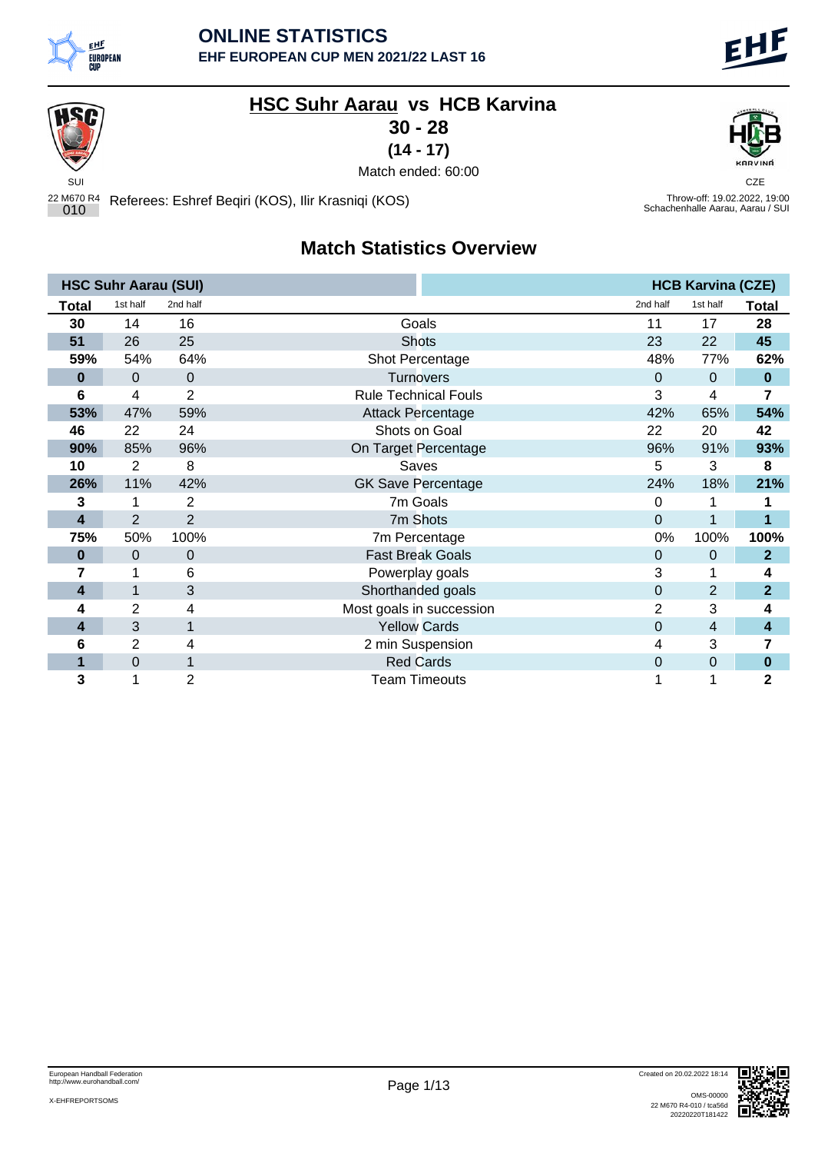

## **HSC Suhr Aarau vs HCB Karvina**

**30 - 28**

**(14 - 17)**



Throw-off: 19.02.2022, 19:00<br>Schachenhalle Aarau, Aarau / SUI

SUI CZE OPARATOR A STARODOWY STARODOWY STARODOWY CZE OPARATOR A STARODOWY CZE OPARATOR CZE OPARATOR CZE Match ended: 60:00

22 M670 R4 <sup>010</sup> Referees: Eshref Beqiri (KOS), Ilir Krasniqi (KOS) Throw-off: 19.02.2022, 19:00

## **Match Statistics Overview**

|       | <b>HSC Suhr Aarau (SUI)</b> |                |                             |          | <b>HCB Karvina (CZE)</b> |                |
|-------|-----------------------------|----------------|-----------------------------|----------|--------------------------|----------------|
| Total | 1st half                    | 2nd half       |                             | 2nd half | 1st half                 | Total          |
| 30    | 14                          | 16             | Goals                       | 11       | 17                       | 28             |
| 51    | 26                          | 25             | <b>Shots</b>                | 23       | 22                       | 45             |
| 59%   | 54%                         | 64%            | Shot Percentage             | 48%      | 77%                      | 62%            |
| 0     | 0                           | $\mathbf 0$    | <b>Turnovers</b>            | $\Omega$ | $\pmb{0}$                | $\bf{0}$       |
| 6     | 4                           | 2              | <b>Rule Technical Fouls</b> | 3        | 4                        | 7              |
| 53%   | 47%                         | 59%            | <b>Attack Percentage</b>    | 42%      | 65%                      | 54%            |
| 46    | 22                          | 24             | Shots on Goal               | 22       | 20                       | 42             |
| 90%   | 85%                         | 96%            | On Target Percentage        | 96%      | 91%                      | 93%            |
| 10    | $\overline{2}$              | 8              | Saves                       | 5        | 3                        | 8              |
| 26%   | 11%                         | 42%            | <b>GK Save Percentage</b>   | 24%      | 18%                      | 21%            |
| 3     |                             | $\overline{2}$ | 7m Goals                    | 0        |                          |                |
| 4     | $\overline{2}$              | $\overline{2}$ | 7m Shots                    | $\Omega$ | 1                        | $\mathbf{1}$   |
| 75%   | 50%                         | 100%           | 7m Percentage               | 0%       | 100%                     | 100%           |
| 0     | 0                           | 0              | <b>Fast Break Goals</b>     | $\Omega$ | $\pmb{0}$                | $\mathbf{2}$   |
|       |                             | 6              | Powerplay goals             | 3        | 1                        | 4              |
| 4     | 1                           | 3              | Shorthanded goals           | 0        | $\overline{2}$           | $\overline{2}$ |
| 4     | 2                           | 4              | Most goals in succession    | 2        | 3                        | 4              |
| 4     | 3                           | 1              | <b>Yellow Cards</b>         | 0        | 4                        | 4              |
| 6     | 2                           | 4              | 2 min Suspension            | 4        | 3                        | 7              |
| 1     | 0                           | 1              | <b>Red Cards</b>            | 0        | $\mathbf 0$              | $\bf{0}$       |
| 3     | 1                           | 2              | <b>Team Timeouts</b>        |          |                          | 2              |

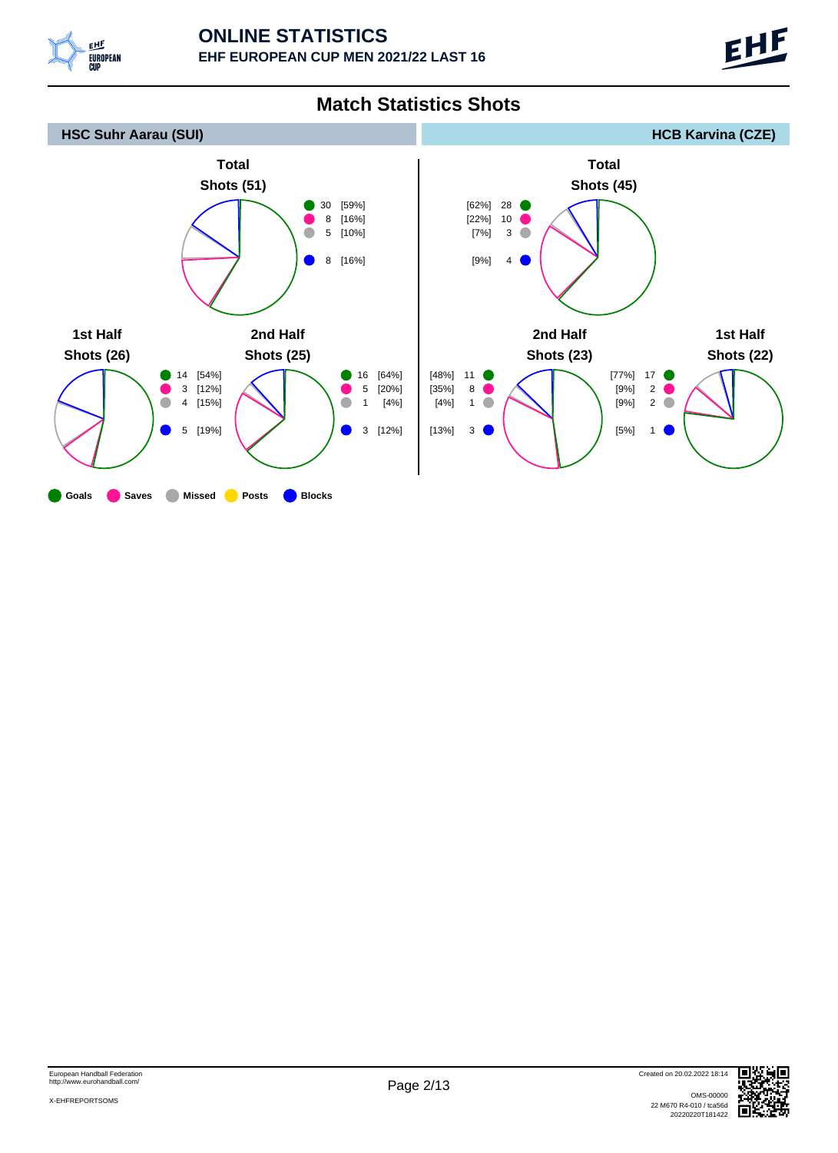



### **Match Statistics Shots**

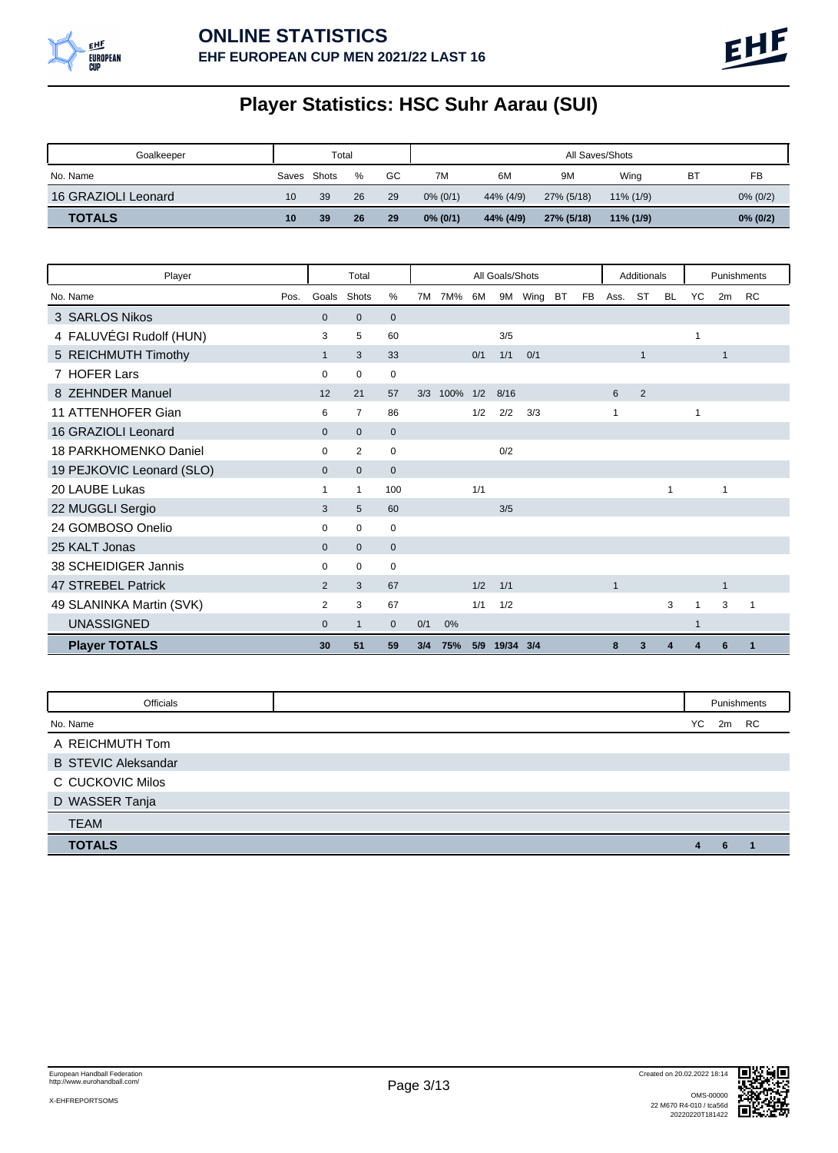

# **Player Statistics: HSC Suhr Aarau (SUI)**

| Goalkeeper          |       | Total |      |    | All Saves/Shots |           |            |              |    |             |  |
|---------------------|-------|-------|------|----|-----------------|-----------|------------|--------------|----|-------------|--|
| No. Name            | Saves | Shots | $\%$ | GC | 7M              | 6M        | 9M         | Wina         | B1 | FB          |  |
| 16 GRAZIOLI Leonard | 10    | 39    | 26   | 29 | $0\%$ (0/1)     | 44% (4/9) | 27% (5/18) | $11\%$ (1/9) |    | $0\% (0/2)$ |  |
| <b>TOTALS</b>       | 10    | 39    | 26   | 29 | $0\%$ (0/1)     | 44% (4/9) | 27% (5/18) | $11\%$ (1/9) |    | $0\%$ (0/2) |  |

| Total<br>Player              |                |  |                | All Goals/Shots |     |      |     |           |            |  |           | Additionals  |              | Punishments  |    |              |   |
|------------------------------|----------------|--|----------------|-----------------|-----|------|-----|-----------|------------|--|-----------|--------------|--------------|--------------|----|--------------|---|
| No. Name                     | Pos.<br>Goals  |  | Shots          | %               | 7M  | 7M%  | 6M  |           | 9M Wing BT |  | <b>FB</b> | Ass.         | <b>ST</b>    | <b>BL</b>    | YC | 2m RC        |   |
| 3 SARLOS Nikos               | $\mathbf{0}$   |  | $\mathbf 0$    | $\mathbf 0$     |     |      |     |           |            |  |           |              |              |              |    |              |   |
| 4 FALUVÉGI Rudolf (HUN)      | 3              |  | 5              | 60              |     |      |     | 3/5       |            |  |           |              |              |              | 1  |              |   |
| 5 REICHMUTH Timothy          | $\mathbf{1}$   |  | 3              | 33              |     |      | 0/1 | 1/1       | 0/1        |  |           |              | $\mathbf{1}$ |              |    | $\mathbf{1}$ |   |
| 7 HOFER Lars                 | $\Omega$       |  | $\mathbf 0$    | $\mathbf 0$     |     |      |     |           |            |  |           |              |              |              |    |              |   |
| 8 ZEHNDER Manuel             | 12             |  | 21             | 57              | 3/3 | 100% | 1/2 | 8/16      |            |  |           | 6            | 2            |              |    |              |   |
| 11 ATTENHOFER Gian           | 6              |  | $\overline{7}$ | 86              |     |      | 1/2 | 2/2       | 3/3        |  |           | 1            |              |              | 1  |              |   |
| 16 GRAZIOLI Leonard          | $\mathbf{0}$   |  | $\mathbf{0}$   | $\mathbf 0$     |     |      |     |           |            |  |           |              |              |              |    |              |   |
| <b>18 PARKHOMENKO Daniel</b> | $\mathbf 0$    |  | 2              | 0               |     |      |     | 0/2       |            |  |           |              |              |              |    |              |   |
| 19 PEJKOVIC Leonard (SLO)    | $\mathbf{0}$   |  | $\mathbf 0$    | $\mathbf 0$     |     |      |     |           |            |  |           |              |              |              |    |              |   |
| 20 LAUBE Lukas               | 1              |  | 1              | 100             |     |      | 1/1 |           |            |  |           |              |              | $\mathbf{1}$ |    | 1            |   |
| 22 MUGGLI Sergio             | 3              |  | 5              | 60              |     |      |     | 3/5       |            |  |           |              |              |              |    |              |   |
| 24 GOMBOSO Onelio            | 0              |  | 0              | 0               |     |      |     |           |            |  |           |              |              |              |    |              |   |
| 25 KALT Jonas                | $\mathbf{0}$   |  | $\mathbf{0}$   | $\mathbf 0$     |     |      |     |           |            |  |           |              |              |              |    |              |   |
| 38 SCHEIDIGER Jannis         | $\mathbf 0$    |  | 0              | 0               |     |      |     |           |            |  |           |              |              |              |    |              |   |
| 47 STREBEL Patrick           | $\overline{2}$ |  | 3              | 67              |     |      | 1/2 | 1/1       |            |  |           | $\mathbf{1}$ |              |              |    | $\mathbf{1}$ |   |
| 49 SLANINKA Martin (SVK)     | $\overline{2}$ |  | 3              | 67              |     |      | 1/1 | 1/2       |            |  |           |              |              | 3            | 1  | 3            | 1 |
| <b>UNASSIGNED</b>            | $\mathbf{0}$   |  | $\mathbf{1}$   | $\mathbf{0}$    | 0/1 | 0%   |     |           |            |  |           |              |              |              | 1  |              |   |
| <b>Player TOTALS</b>         | 30             |  | 51             | 59              | 3/4 | 75%  | 5/9 | 19/34 3/4 |            |  |           | 8            | 3            | 4            |    | 6            |   |

| Officials                  |    |    | Punishments |
|----------------------------|----|----|-------------|
| No. Name                   | YC | 2m | RC          |
| A REICHMUTH Tom            |    |    |             |
| <b>B STEVIC Aleksandar</b> |    |    |             |
| C CUCKOVIC Milos           |    |    |             |
| D WASSER Tanja             |    |    |             |
| <b>TEAM</b>                |    |    |             |
| <b>TOTALS</b>              |    | 6  |             |

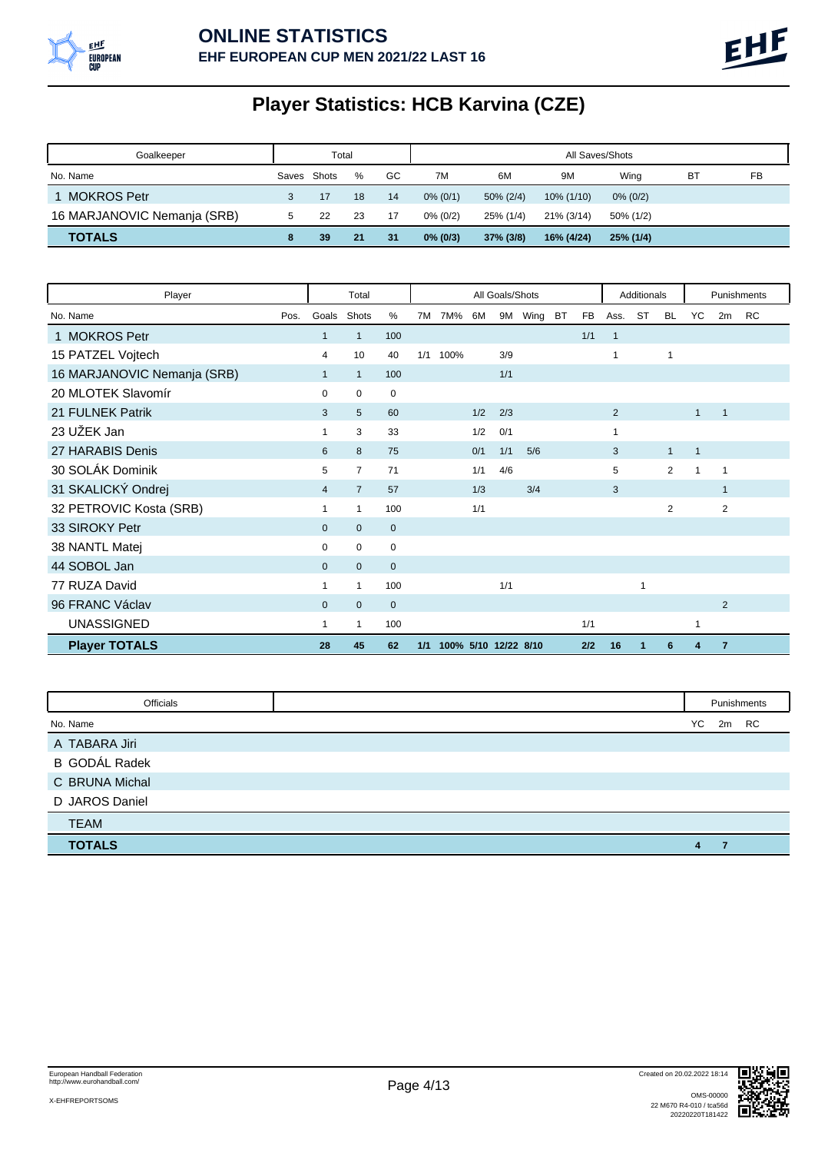

# **Player Statistics: HCB Karvina (CZE)**

| Goalkeeper                  |             | Total |    |    | All Saves/Shots |              |            |             |    |    |  |  |  |
|-----------------------------|-------------|-------|----|----|-----------------|--------------|------------|-------------|----|----|--|--|--|
| No. Name                    | Saves Shots |       | %  | GC | 7M              | 6M           | 9M         | Wina        | B1 | FB |  |  |  |
| <b>MOKROS Petr</b>          | 3           |       | 18 | 14 | $0\% (0/1)$     | $50\% (2/4)$ | 10% (1/10) | $0\% (0/2)$ |    |    |  |  |  |
| 16 MARJANOVIC Nemanja (SRB) |             | 22    | 23 | 17 | $0\%$ (0/2)     | 25% (1/4)    | 21% (3/14) | 50% (1/2)   |    |    |  |  |  |
| <b>TOTALS</b>               |             | 39    | 21 | 31 | $0\%$ (0/3)     | $37\%$ (3/8) | 16% (4/24) | 25% (1/4)   |    |    |  |  |  |

| Player                      |      |                | Total          |                | All Goals/Shots |                      |     |     |         |           |           | Additionals    |                | Punishments    |              |                |    |
|-----------------------------|------|----------------|----------------|----------------|-----------------|----------------------|-----|-----|---------|-----------|-----------|----------------|----------------|----------------|--------------|----------------|----|
| No. Name                    | Pos. | Goals          | Shots          | %              | 7M              | 7M%                  | 6M  |     | 9M Wing | <b>BT</b> | <b>FB</b> | Ass.           | ST             | <b>BL</b>      | <b>YC</b>    | 2m             | RC |
| 1 MOKROS Petr               |      | $\mathbf{1}$   | $\mathbf{1}$   | 100            |                 |                      |     |     |         |           | 1/1       | $\mathbf{1}$   |                |                |              |                |    |
| 15 PATZEL Vojtech           |      | 4              | 10             | 40             | 1/1             | 100%                 |     | 3/9 |         |           |           | 1              |                | 1              |              |                |    |
| 16 MARJANOVIC Nemanja (SRB) |      | $\mathbf{1}$   | $\mathbf{1}$   | 100            |                 |                      |     | 1/1 |         |           |           |                |                |                |              |                |    |
| 20 MLOTEK Slavomír          |      | 0              | $\mathbf 0$    | $\mathbf 0$    |                 |                      |     |     |         |           |           |                |                |                |              |                |    |
| 21 FULNEK Patrik            |      | 3              | 5              | 60             |                 |                      | 1/2 | 2/3 |         |           |           | $\overline{2}$ |                |                | $\mathbf{1}$ | $\mathbf{1}$   |    |
| 23 UŽEK Jan                 |      |                | 3              | 33             |                 |                      | 1/2 | 0/1 |         |           |           | 1              |                |                |              |                |    |
| 27 HARABIS Denis            |      | 6              | 8              | 75             |                 |                      | 0/1 | 1/1 | 5/6     |           |           | 3              |                | $\mathbf{1}$   | $\mathbf{1}$ |                |    |
| 30 SOLÁK Dominik            |      | 5              | $\overline{7}$ | 71             |                 |                      | 1/1 | 4/6 |         |           |           | 5              |                | 2              | 1            | 1              |    |
| 31 SKALICKÝ Ondrej          |      | $\overline{4}$ | $\overline{7}$ | 57             |                 |                      | 1/3 |     | 3/4     |           |           | 3              |                |                |              | $\mathbf{1}$   |    |
| 32 PETROVIC Kosta (SRB)     |      |                | 1              | 100            |                 |                      | 1/1 |     |         |           |           |                |                | $\overline{2}$ |              | $\overline{2}$ |    |
| 33 SIROKY Petr              |      | $\mathbf{0}$   | $\mathbf{0}$   | $\mathbf 0$    |                 |                      |     |     |         |           |           |                |                |                |              |                |    |
| 38 NANTL Matej              |      | 0              | $\mathbf 0$    | $\mathbf 0$    |                 |                      |     |     |         |           |           |                |                |                |              |                |    |
| 44 SOBOL Jan                |      | $\mathbf{0}$   | $\mathbf{0}$   | $\overline{0}$ |                 |                      |     |     |         |           |           |                |                |                |              |                |    |
| 77 RUZA David               |      | 1              | 1              | 100            |                 |                      |     | 1/1 |         |           |           |                | $\overline{1}$ |                |              |                |    |
| 96 FRANC Václav             |      | $\Omega$       | $\mathbf{0}$   | $\overline{0}$ |                 |                      |     |     |         |           |           |                |                |                |              | 2              |    |
| <b>UNASSIGNED</b>           |      | 1              | 1              | 100            |                 |                      |     |     |         |           | 1/1       |                |                |                | 1            |                |    |
| <b>Player TOTALS</b>        |      | 28             | 45             | 62             | 1/1             | 100% 5/10 12/22 8/10 |     |     |         |           | 2/2       | 16             | 1              | 6              | 4            | $\overline{7}$ |    |

| Officials            |   |          | Punishments |
|----------------------|---|----------|-------------|
| No. Name             |   | YC 2m RC |             |
| A TABARA Jiri        |   |          |             |
| <b>B</b> GODÁL Radek |   |          |             |
| C BRUNA Michal       |   |          |             |
| D JAROS Daniel       |   |          |             |
| <b>TEAM</b>          |   |          |             |
| <b>TOTALS</b>        | 4 |          |             |

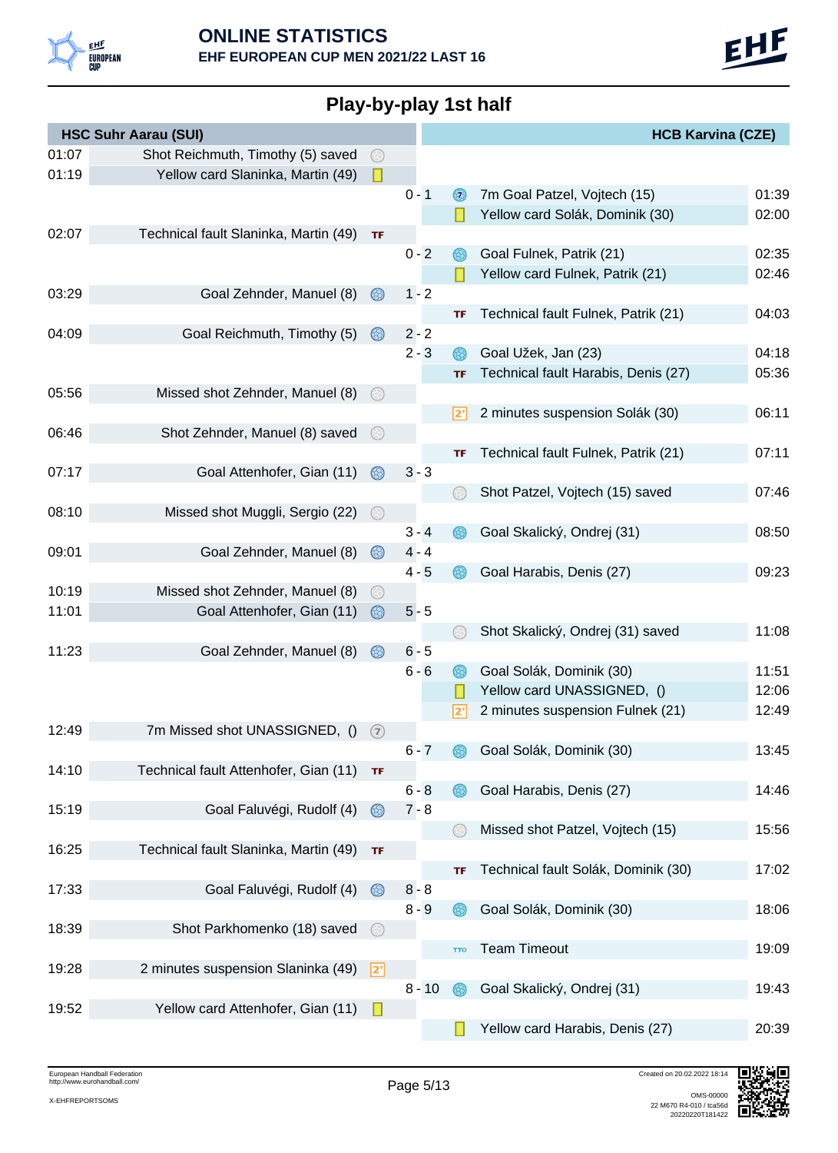

**Play-by-play 1st half**

|       | <b>HSC Suhr Aarau (SUI)</b>           |                |          |            | <b>HCB Karvina (CZE)</b>            |       |
|-------|---------------------------------------|----------------|----------|------------|-------------------------------------|-------|
| 01:07 | Shot Reichmuth, Timothy (5) saved     | $(\odot)$      |          |            |                                     |       |
| 01:19 | Yellow card Slaninka, Martin (49)     | П              |          |            |                                     |       |
|       |                                       |                | $0 - 1$  | $\odot$    | 7m Goal Patzel, Vojtech (15)        | 01:39 |
|       |                                       |                |          |            | Yellow card Solák, Dominik (30)     | 02:00 |
| 02:07 | Technical fault Slaninka, Martin (49) | <b>TF</b>      |          |            |                                     |       |
|       |                                       |                | $0 - 2$  |            | Goal Fulnek, Patrik (21)            | 02:35 |
|       |                                       |                |          |            | Yellow card Fulnek, Patrik (21)     | 02:46 |
| 03:29 | Goal Zehnder, Manuel (8)              | $\circledcirc$ | $1 - 2$  |            |                                     |       |
|       |                                       |                |          | TF         | Technical fault Fulnek, Patrik (21) | 04:03 |
| 04:09 | Goal Reichmuth, Timothy (5)           | $\circledcirc$ | $2 - 2$  |            |                                     |       |
|       |                                       |                | $2 - 3$  |            | Goal Užek, Jan (23)                 | 04:18 |
|       |                                       |                |          | <b>TF</b>  | Technical fault Harabis, Denis (27) | 05:36 |
| 05:56 | Missed shot Zehnder, Manuel (8)       | - 69)          |          |            |                                     |       |
|       |                                       |                |          | 2'         | 2 minutes suspension Solák (30)     | 06:11 |
| 06:46 | Shot Zehnder, Manuel (8) saved        |                |          |            |                                     |       |
|       |                                       |                |          | TF         | Technical fault Fulnek, Patrik (21) | 07:11 |
| 07:17 | Goal Attenhofer, Gian (11)            | $\circledcirc$ | $3 - 3$  |            |                                     |       |
|       |                                       |                |          |            | Shot Patzel, Vojtech (15) saved     | 07:46 |
| 08:10 | Missed shot Muggli, Sergio (22)       | $(\div)$       |          |            |                                     |       |
|       |                                       |                | $3 - 4$  |            | Goal Skalický, Ondrej (31)          | 08:50 |
| 09:01 | Goal Zehnder, Manuel (8)              | 68)            | $4 - 4$  |            |                                     |       |
|       |                                       |                | $4 - 5$  |            | Goal Harabis, Denis (27)            | 09:23 |
| 10:19 | Missed shot Zehnder, Manuel (8)       |                |          |            |                                     |       |
| 11:01 | Goal Attenhofer, Gian (11)            | $\circledcirc$ | $5 - 5$  |            |                                     |       |
|       |                                       |                |          |            | Shot Skalický, Ondrej (31) saved    | 11:08 |
| 11:23 | Goal Zehnder, Manuel (8)              | $\circledcirc$ | $6 - 5$  |            |                                     |       |
|       |                                       |                | $6 - 6$  |            | Goal Solák, Dominik (30)            | 11:51 |
|       |                                       |                |          |            | Yellow card UNASSIGNED, ()          | 12:06 |
|       |                                       |                |          | 2'         | 2 minutes suspension Fulnek (21)    | 12:49 |
| 12:49 | 7m Missed shot UNASSIGNED, ()         | $\circled{2}$  |          |            |                                     |       |
|       |                                       |                | $6 - 7$  |            | Goal Solák, Dominik (30)            | 13:45 |
| 14:10 | Technical fault Attenhofer, Gian (11) | TF             |          |            |                                     |       |
|       |                                       |                | $6 - 8$  |            | Goal Harabis, Denis (27)            | 14:46 |
| 15:19 | Goal Faluvégi, Rudolf (4)             | $\circledcirc$ | $7 - 8$  |            |                                     |       |
|       |                                       |                |          |            | Missed shot Patzel, Vojtech (15)    | 15:56 |
| 16:25 | Technical fault Slaninka, Martin (49) | TF             |          |            |                                     |       |
|       |                                       |                |          | ΤF         | Technical fault Solák, Dominik (30) | 17:02 |
| 17:33 | Goal Faluvégi, Rudolf (4)             | $\circledcirc$ | $8 - 8$  |            |                                     |       |
|       |                                       |                | $8 - 9$  | 63         | Goal Solák, Dominik (30)            | 18:06 |
| 18:39 | Shot Parkhomenko (18) saved           | ⊙              |          |            |                                     |       |
|       |                                       |                |          | <b>TTO</b> | <b>Team Timeout</b>                 | 19:09 |
| 19:28 | 2 minutes suspension Slaninka (49)    | <u> 2' </u>    |          |            |                                     |       |
|       |                                       |                | $8 - 10$ |            | Goal Skalický, Ondrej (31)          | 19:43 |
| 19:52 | Yellow card Attenhofer, Gian (11)     | Ш              |          |            |                                     |       |
|       |                                       |                |          |            | Yellow card Harabis, Denis (27)     | 20:39 |

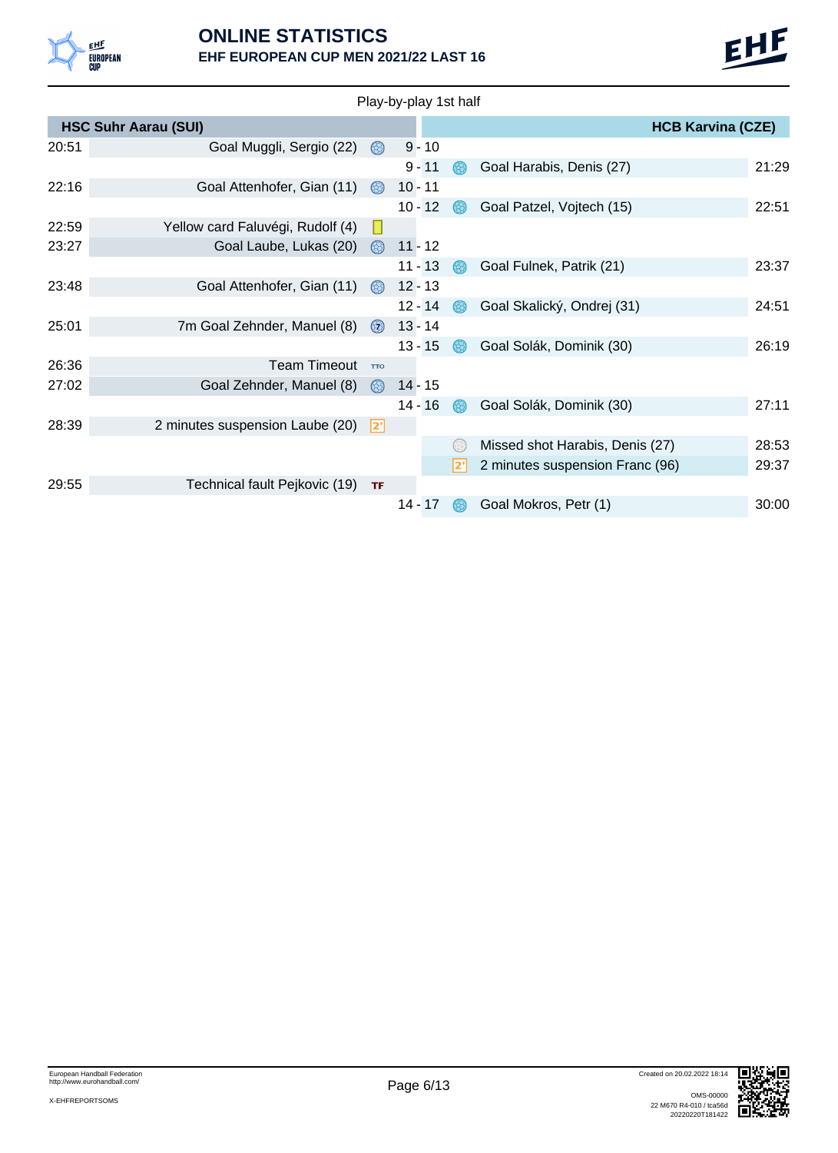

|       |                                  |                | Play-by-play 1st half |     |                                 |                          |       |
|-------|----------------------------------|----------------|-----------------------|-----|---------------------------------|--------------------------|-------|
|       | <b>HSC Suhr Aarau (SUI)</b>      |                |                       |     |                                 | <b>HCB Karvina (CZE)</b> |       |
| 20:51 | Goal Muggli, Sergio (22)         | $\circledcirc$ | $9 - 10$              |     |                                 |                          |       |
|       |                                  |                | $9 - 11$              |     | Goal Harabis, Denis (27)        |                          | 21:29 |
| 22:16 | Goal Attenhofer, Gian (11)       | $\circledcirc$ | $10 - 11$             |     |                                 |                          |       |
|       |                                  |                | $10 - 12$             | 68. | Goal Patzel, Vojtech (15)       |                          | 22:51 |
| 22:59 | Yellow card Faluvégi, Rudolf (4) |                |                       |     |                                 |                          |       |
| 23:27 | Goal Laube, Lukas (20)           | $\circledcirc$ | $11 - 12$             |     |                                 |                          |       |
|       |                                  |                | $11 - 13$             |     | Goal Fulnek, Patrik (21)        |                          | 23:37 |
| 23:48 | Goal Attenhofer, Gian (11)       | $\circledcirc$ | $12 - 13$             |     |                                 |                          |       |
|       |                                  |                | $12 - 14$             |     | Goal Skalický, Ondrej (31)      |                          | 24:51 |
| 25:01 | 7m Goal Zehnder, Manuel (8)      | $\odot$        | $13 - 14$             |     |                                 |                          |       |
|       |                                  |                | $13 - 15$             | 63  | Goal Solák, Dominik (30)        |                          | 26:19 |
| 26:36 | <b>Team Timeout</b>              | <b>TTO</b>     |                       |     |                                 |                          |       |
| 27:02 | Goal Zehnder, Manuel (8)         | 68)            | $14 - 15$             |     |                                 |                          |       |
|       |                                  |                | $14 - 16$             |     | Goal Solák, Dominik (30)        |                          | 27:11 |
| 28:39 | 2 minutes suspension Laube (20)  | $ 2$ '         |                       |     |                                 |                          |       |
|       |                                  |                |                       |     | Missed shot Harabis, Denis (27) |                          | 28:53 |
|       |                                  |                |                       |     | 2 minutes suspension Franc (96) |                          | 29:37 |
| 29:55 | Technical fault Pejkovic (19)    | <b>TF</b>      |                       |     |                                 |                          |       |
|       |                                  |                | $14 - 17$             |     | Goal Mokros, Petr (1)           |                          | 30:00 |
|       |                                  |                |                       |     |                                 |                          |       |

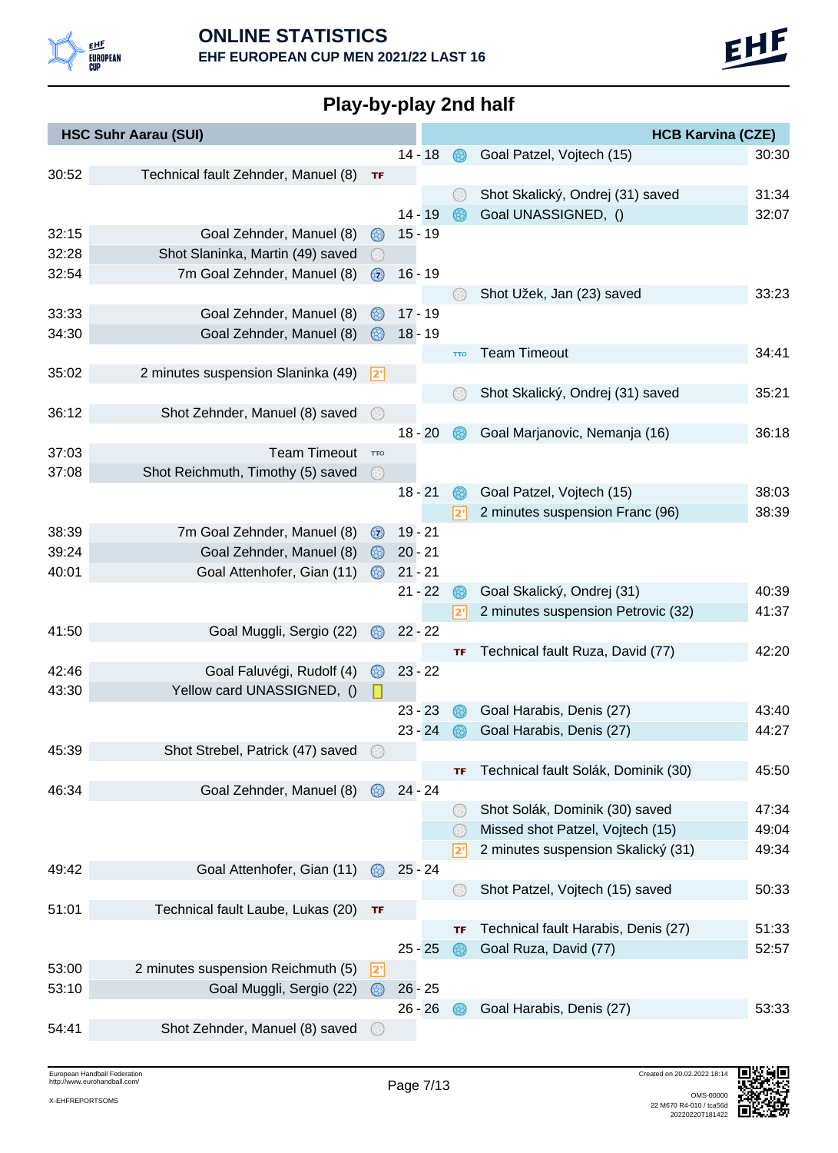

|  |  | Play-by-play 2nd half |
|--|--|-----------------------|
|  |  |                       |

|       | <b>HSC Suhr Aarau (SUI)</b>         |                     |           |            | <b>HCB Karvina (CZE)</b>            |       |
|-------|-------------------------------------|---------------------|-----------|------------|-------------------------------------|-------|
|       |                                     |                     | $14 - 18$ | 68.        | Goal Patzel, Vojtech (15)           | 30:30 |
| 30:52 | Technical fault Zehnder, Manuel (8) | TF                  |           |            |                                     |       |
|       |                                     |                     |           |            | Shot Skalický, Ondrej (31) saved    | 31:34 |
|       |                                     |                     | $14 - 19$ |            | Goal UNASSIGNED, ()                 | 32:07 |
| 32:15 | Goal Zehnder, Manuel (8)            | 68)                 | $15 - 19$ |            |                                     |       |
| 32:28 | Shot Slaninka, Martin (49) saved    | $(\leftrightarrow)$ |           |            |                                     |       |
| 32:54 | 7m Goal Zehnder, Manuel (8)         | $\odot$             | $16 - 19$ |            |                                     |       |
|       |                                     |                     |           |            | Shot Užek, Jan (23) saved           | 33:23 |
| 33:33 | Goal Zehnder, Manuel (8)            |                     | $17 - 19$ |            |                                     |       |
| 34:30 | Goal Zehnder, Manuel (8)            | 68)                 | $18 - 19$ |            |                                     |       |
|       |                                     |                     |           | <b>TTO</b> | <b>Team Timeout</b>                 | 34:41 |
| 35:02 | 2 minutes suspension Slaninka (49)  | <u> 2'</u>          |           |            |                                     |       |
|       |                                     |                     |           |            | Shot Skalický, Ondrej (31) saved    | 35:21 |
| 36:12 | Shot Zehnder, Manuel (8) saved      | (48                 |           |            |                                     |       |
|       |                                     |                     | $18 - 20$ |            | Goal Marjanovic, Nemanja (16)       | 36:18 |
| 37:03 | <b>Team Timeout</b>                 | <b>TTO</b>          |           |            |                                     |       |
| 37:08 | Shot Reichmuth, Timothy (5) saved   | $\circledcirc$      |           |            |                                     |       |
|       |                                     |                     | $18 - 21$ |            | Goal Patzel, Vojtech (15)           | 38:03 |
|       |                                     |                     |           | 2'         | 2 minutes suspension Franc (96)     | 38:39 |
| 38:39 | 7m Goal Zehnder, Manuel (8)         | $\odot$             | $19 - 21$ |            |                                     |       |
| 39:24 | Goal Zehnder, Manuel (8)            | $\circledcirc$      | $20 - 21$ |            |                                     |       |
| 40:01 | Goal Attenhofer, Gian (11)          |                     | $21 - 21$ |            |                                     |       |
|       |                                     |                     | $21 - 22$ |            | Goal Skalický, Ondrej (31)          | 40:39 |
|       |                                     |                     |           | 2'         | 2 minutes suspension Petrovic (32)  | 41:37 |
| 41:50 | Goal Muggli, Sergio (22)            | $\circledcirc$      | $22 - 22$ |            |                                     |       |
|       |                                     |                     |           | TF         | Technical fault Ruza, David (77)    | 42:20 |
| 42:46 | Goal Faluvégi, Rudolf (4)           | 68)                 | $23 - 22$ |            |                                     |       |
| 43:30 | Yellow card UNASSIGNED, ()          |                     |           |            |                                     |       |
|       |                                     |                     | $23 - 23$ |            | Goal Harabis, Denis (27)            | 43:40 |
|       |                                     |                     | 23 - 24   |            | Goal Harabis, Denis (27)            | 44:27 |
| 45:39 | Shot Strebel, Patrick (47) saved    |                     |           |            |                                     |       |
|       |                                     |                     |           | TF         | Technical fault Solák, Dominik (30) | 45:50 |
| 46:34 | Goal Zehnder, Manuel (8)            |                     | $24 - 24$ |            |                                     |       |
|       |                                     |                     |           |            | Shot Solák, Dominik (30) saved      | 47:34 |
|       |                                     |                     |           |            | Missed shot Patzel, Vojtech (15)    | 49:04 |
|       |                                     |                     |           | 2'         | 2 minutes suspension Skalický (31)  | 49:34 |
| 49:42 | Goal Attenhofer, Gian (11)          | $\circledcirc$      | $25 - 24$ |            |                                     |       |
|       |                                     |                     |           |            | Shot Patzel, Vojtech (15) saved     | 50:33 |
| 51:01 | Technical fault Laube, Lukas (20)   | TF                  |           |            |                                     |       |
|       |                                     |                     |           | ΤF         | Technical fault Harabis, Denis (27) | 51:33 |
|       |                                     |                     | $25 - 25$ | 68         | Goal Ruza, David (77)               | 52:57 |
| 53:00 | 2 minutes suspension Reichmuth (5)  | <u> 2'</u>          |           |            |                                     |       |
| 53:10 | Goal Muggli, Sergio (22)            | $\circledcirc$      | $26 - 25$ |            |                                     |       |
|       |                                     |                     | $26 - 26$ |            | Goal Harabis, Denis (27)            | 53:33 |
| 54:41 | Shot Zehnder, Manuel (8) saved      |                     |           |            |                                     |       |

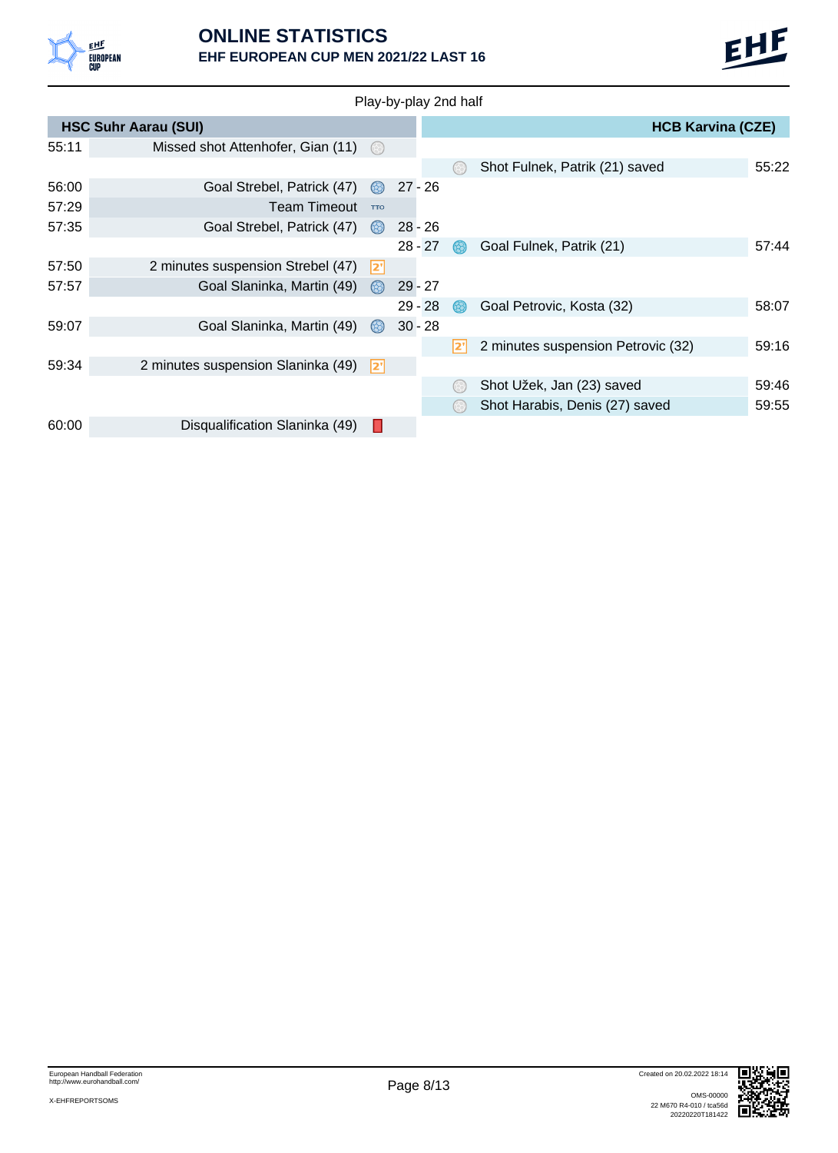

|       |                                    |                | Play-by-play 2nd half |  |                                    |       |
|-------|------------------------------------|----------------|-----------------------|--|------------------------------------|-------|
|       | <b>HSC Suhr Aarau (SUI)</b>        |                |                       |  | <b>HCB Karvina (CZE)</b>           |       |
| 55:11 | Missed shot Attenhofer, Gian (11)  | $(\odot)$      |                       |  |                                    |       |
|       |                                    |                |                       |  | Shot Fulnek, Patrik (21) saved     | 55:22 |
| 56:00 | Goal Strebel, Patrick (47)         | $\circledcirc$ | $27 - 26$             |  |                                    |       |
| 57:29 | <b>Team Timeout</b>                | <b>TTO</b>     |                       |  |                                    |       |
| 57:35 | Goal Strebel, Patrick (47)         | $\circledcirc$ | $28 - 26$             |  |                                    |       |
|       |                                    |                | $28 - 27$             |  | Goal Fulnek, Patrik (21)           | 57:44 |
| 57:50 | 2 minutes suspension Strebel (47)  | 2"             |                       |  |                                    |       |
| 57:57 | Goal Slaninka, Martin (49)         | $\circledR$    | $29 - 27$             |  |                                    |       |
|       |                                    |                | $29 - 28$             |  | Goal Petrovic, Kosta (32)          | 58:07 |
| 59:07 | Goal Slaninka, Martin (49)         | $\circledcirc$ | $30 - 28$             |  |                                    |       |
|       |                                    |                |                       |  | 2 minutes suspension Petrovic (32) | 59:16 |
| 59:34 | 2 minutes suspension Slaninka (49) | 2"             |                       |  |                                    |       |
|       |                                    |                |                       |  | Shot Užek, Jan (23) saved          | 59:46 |
|       |                                    |                |                       |  | Shot Harabis, Denis (27) saved     | 59:55 |
| 60:00 | Disqualification Slaninka (49)     |                |                       |  |                                    |       |

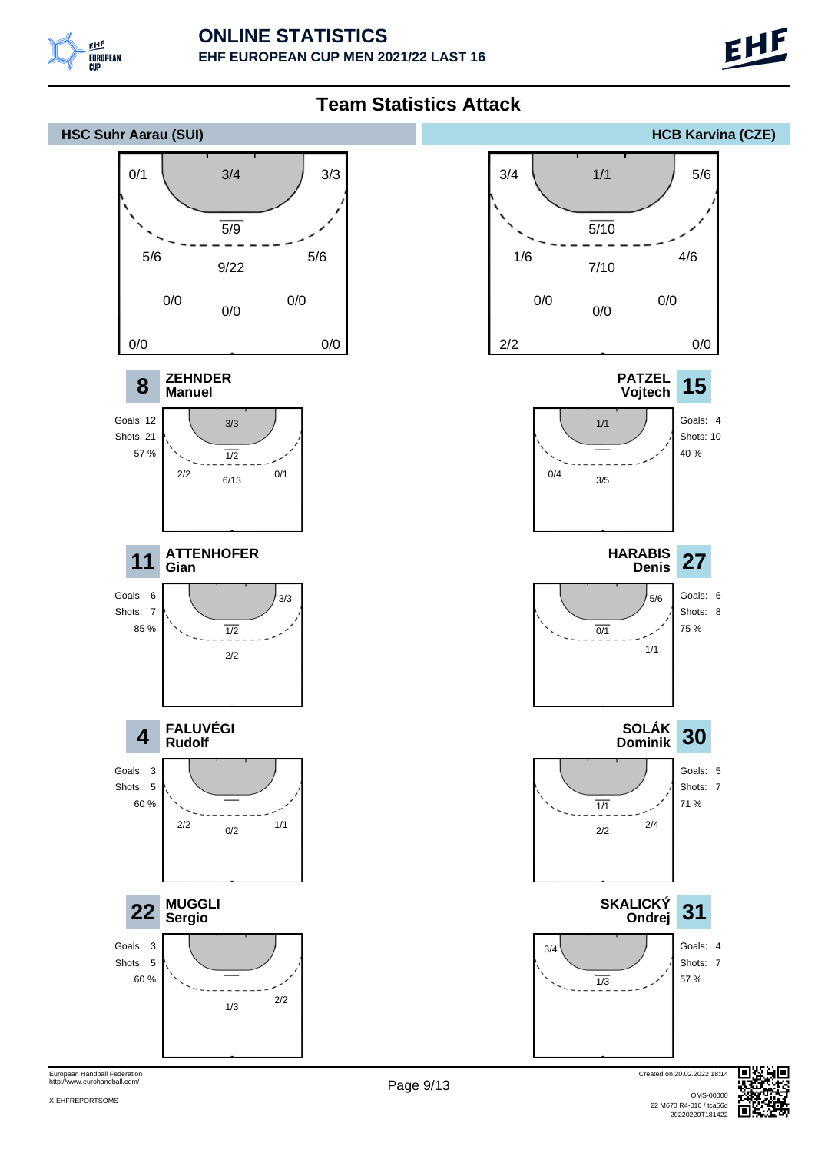

**8**

Goals: 12 Shots: 21 57 %

Shots: 7 85 %

**4**

Goals: 3 Shots: 5 60 %

Goals: 3 Shots: 5 60 % **Manuel**

2/2

**Gian**

**Rudolf**

**Sergio**



European Handball Federation http://www.eurohandball.com/

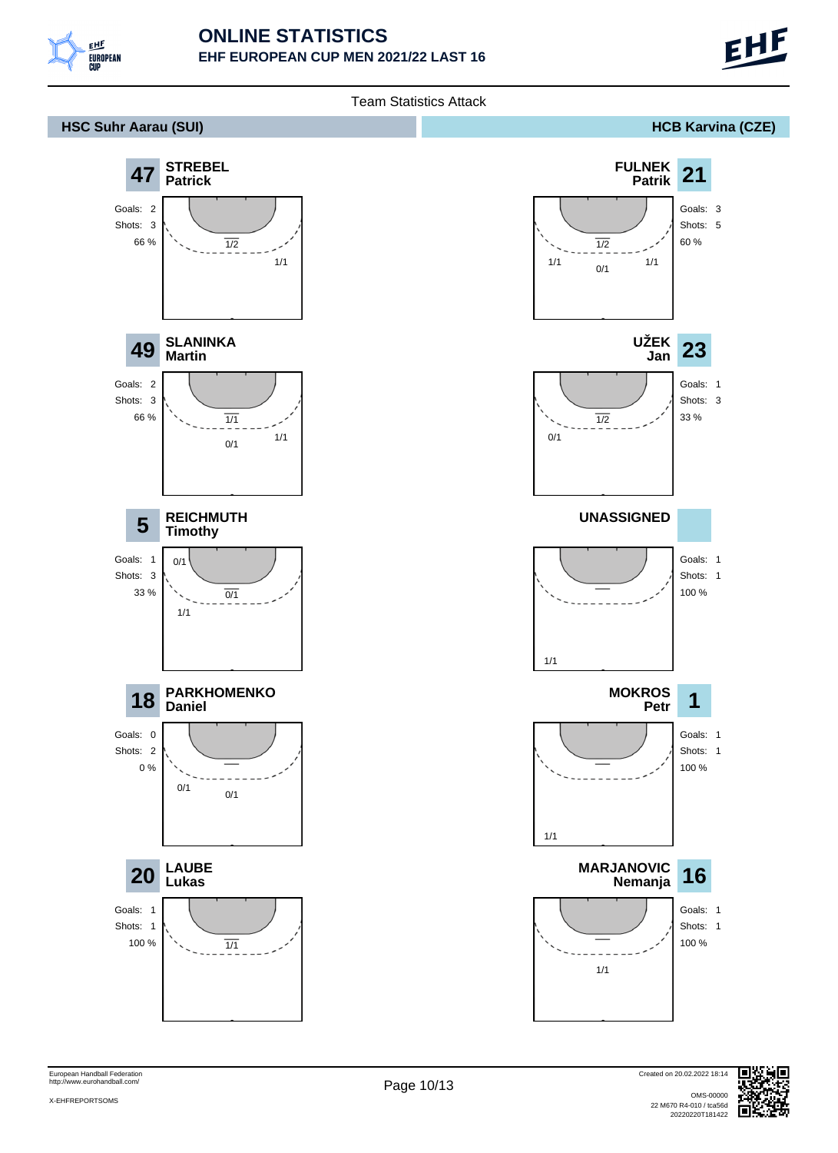



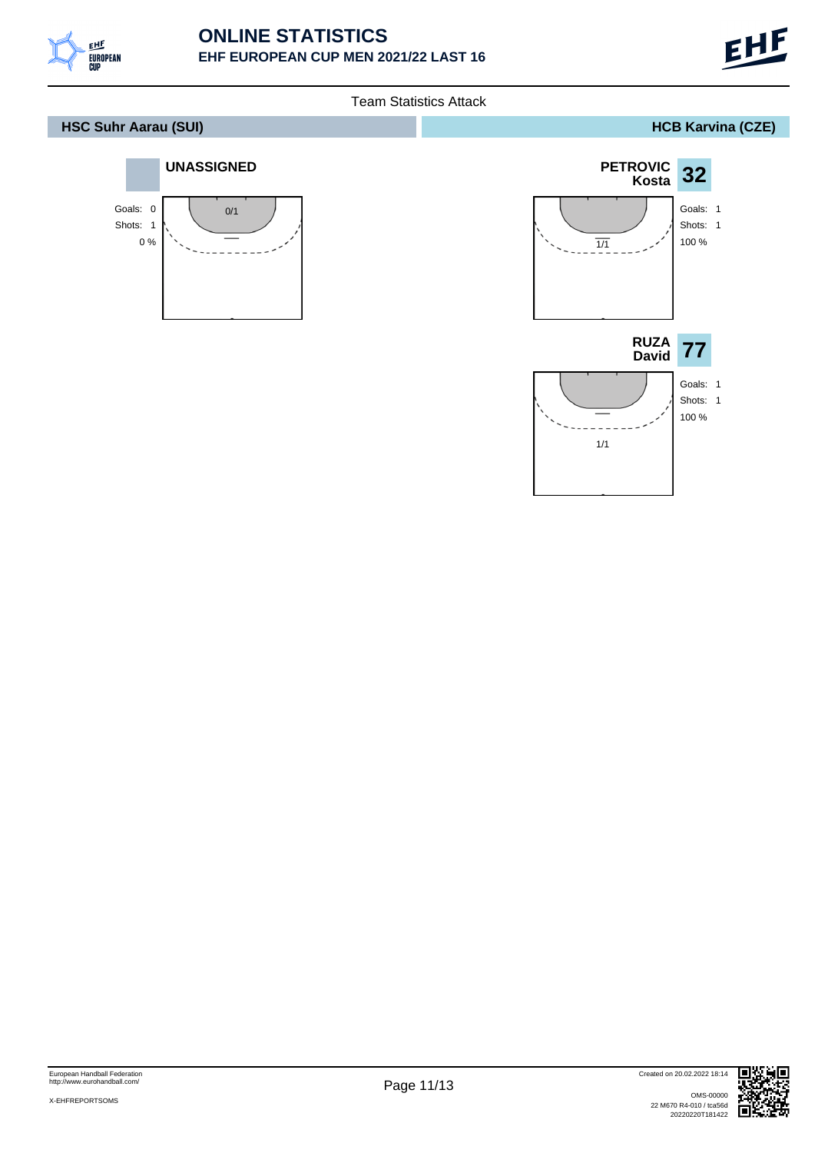



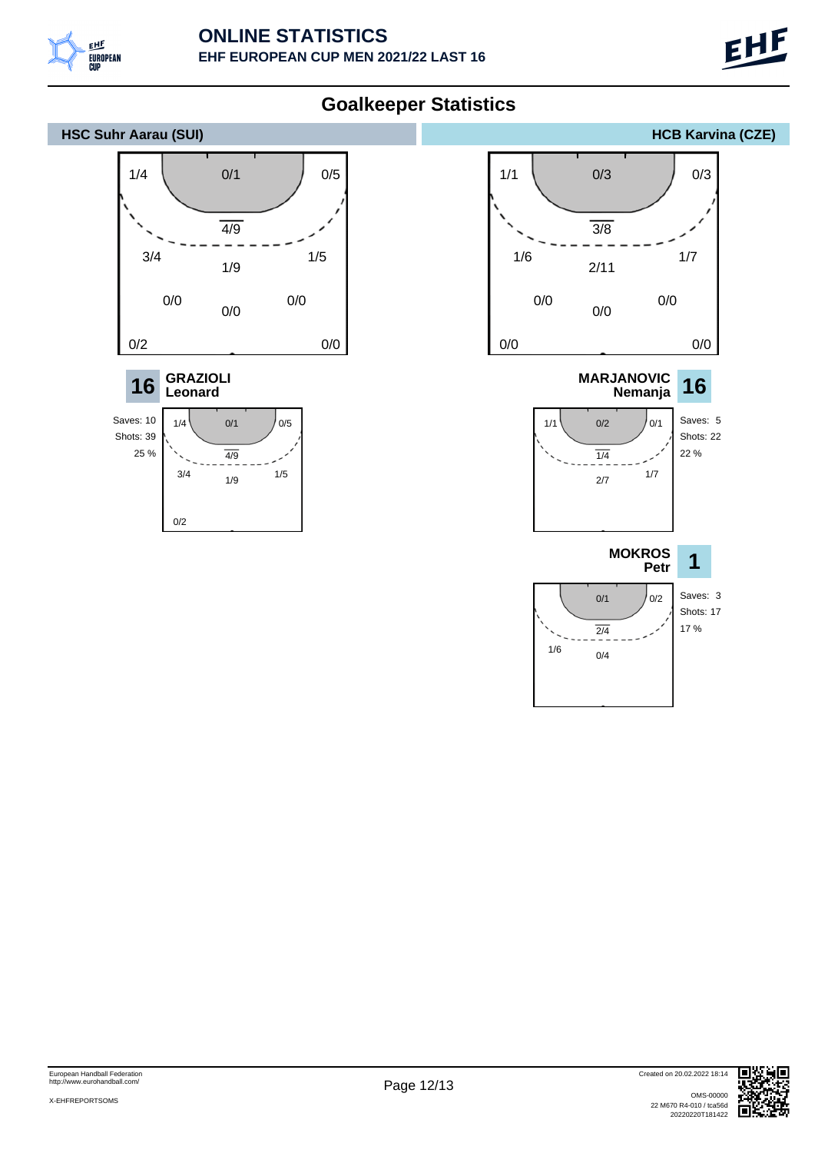